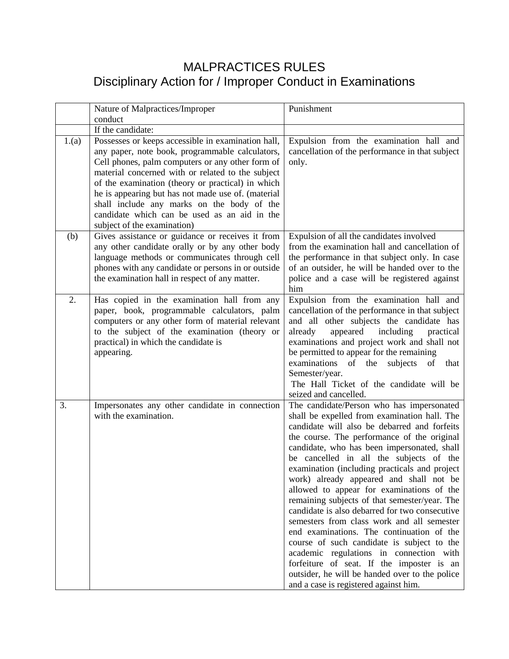## MALPRACTICES RULES Disciplinary Action for / Improper Conduct in Examinations

|       | Nature of Malpractices/Improper                                                                                                                                                                                                                                                                                                                                                                  | Punishment                                                                                                                                                                                                                                                                                                                                                                                                                                                                                                                                                                                                                                                                                                                                                                                                                                                 |
|-------|--------------------------------------------------------------------------------------------------------------------------------------------------------------------------------------------------------------------------------------------------------------------------------------------------------------------------------------------------------------------------------------------------|------------------------------------------------------------------------------------------------------------------------------------------------------------------------------------------------------------------------------------------------------------------------------------------------------------------------------------------------------------------------------------------------------------------------------------------------------------------------------------------------------------------------------------------------------------------------------------------------------------------------------------------------------------------------------------------------------------------------------------------------------------------------------------------------------------------------------------------------------------|
|       | conduct<br>If the candidate:                                                                                                                                                                                                                                                                                                                                                                     |                                                                                                                                                                                                                                                                                                                                                                                                                                                                                                                                                                                                                                                                                                                                                                                                                                                            |
| 1.(a) | Possesses or keeps accessible in examination hall,                                                                                                                                                                                                                                                                                                                                               | Expulsion from the examination hall and                                                                                                                                                                                                                                                                                                                                                                                                                                                                                                                                                                                                                                                                                                                                                                                                                    |
|       | any paper, note book, programmable calculators,<br>Cell phones, palm computers or any other form of<br>material concerned with or related to the subject<br>of the examination (theory or practical) in which<br>he is appearing but has not made use of. (material<br>shall include any marks on the body of the<br>candidate which can be used as an aid in the<br>subject of the examination) | cancellation of the performance in that subject<br>only.                                                                                                                                                                                                                                                                                                                                                                                                                                                                                                                                                                                                                                                                                                                                                                                                   |
| (b)   | Gives assistance or guidance or receives it from<br>any other candidate orally or by any other body<br>language methods or communicates through cell<br>phones with any candidate or persons in or outside<br>the examination hall in respect of any matter.                                                                                                                                     | Expulsion of all the candidates involved<br>from the examination hall and cancellation of<br>the performance in that subject only. In case<br>of an outsider, he will be handed over to the<br>police and a case will be registered against<br>him                                                                                                                                                                                                                                                                                                                                                                                                                                                                                                                                                                                                         |
| 2.    | Has copied in the examination hall from any<br>paper, book, programmable calculators, palm<br>computers or any other form of material relevant<br>to the subject of the examination (theory or<br>practical) in which the candidate is<br>appearing.                                                                                                                                             | Expulsion from the examination hall and<br>cancellation of the performance in that subject<br>and all other subjects the candidate has<br>appeared<br>including<br>already<br>practical<br>examinations and project work and shall not<br>be permitted to appear for the remaining<br>examinations<br>of<br>subjects<br>the<br>of<br>that<br>Semester/year.<br>The Hall Ticket of the candidate will be<br>seized and cancelled.                                                                                                                                                                                                                                                                                                                                                                                                                           |
| 3.    | Impersonates any other candidate in connection<br>with the examination.                                                                                                                                                                                                                                                                                                                          | The candidate/Person who has impersonated<br>shall be expelled from examination hall. The<br>candidate will also be debarred and forfeits<br>the course. The performance of the original<br>candidate, who has been impersonated, shall<br>be cancelled in all the subjects of the<br>examination (including practicals and project<br>work) already appeared and shall not be<br>allowed to appear for examinations of the<br>remaining subjects of that semester/year. The<br>candidate is also debarred for two consecutive<br>semesters from class work and all semester<br>end examinations. The continuation of the<br>course of such candidate is subject to the<br>academic regulations in connection with<br>forfeiture of seat. If the imposter is an<br>outsider, he will be handed over to the police<br>and a case is registered against him. |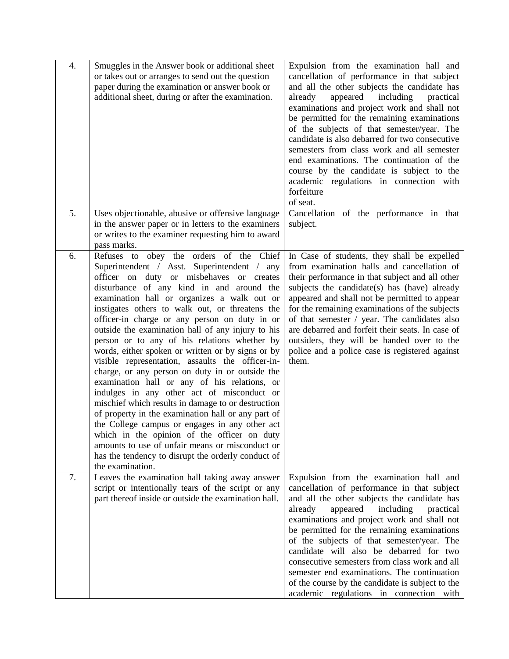| 4. | Smuggles in the Answer book or additional sheet<br>or takes out or arranges to send out the question<br>paper during the examination or answer book or<br>additional sheet, during or after the examination.                                                                                                                                                                                                                                                                                                                                                                                                                                                                                                                                                                                                                                                                                                                                                                                                                                   | Expulsion from the examination hall and<br>cancellation of performance in that subject<br>and all the other subjects the candidate has<br>appeared<br>including<br>already<br>practical<br>examinations and project work and shall not<br>be permitted for the remaining examinations<br>of the subjects of that semester/year. The<br>candidate is also debarred for two consecutive<br>semesters from class work and all semester<br>end examinations. The continuation of the<br>course by the candidate is subject to the<br>academic regulations in connection with<br>forfeiture<br>of seat. |
|----|------------------------------------------------------------------------------------------------------------------------------------------------------------------------------------------------------------------------------------------------------------------------------------------------------------------------------------------------------------------------------------------------------------------------------------------------------------------------------------------------------------------------------------------------------------------------------------------------------------------------------------------------------------------------------------------------------------------------------------------------------------------------------------------------------------------------------------------------------------------------------------------------------------------------------------------------------------------------------------------------------------------------------------------------|----------------------------------------------------------------------------------------------------------------------------------------------------------------------------------------------------------------------------------------------------------------------------------------------------------------------------------------------------------------------------------------------------------------------------------------------------------------------------------------------------------------------------------------------------------------------------------------------------|
| 5. | Uses objectionable, abusive or offensive language<br>in the answer paper or in letters to the examiners<br>or writes to the examiner requesting him to award<br>pass marks.                                                                                                                                                                                                                                                                                                                                                                                                                                                                                                                                                                                                                                                                                                                                                                                                                                                                    | Cancellation of the performance in that<br>subject.                                                                                                                                                                                                                                                                                                                                                                                                                                                                                                                                                |
| 6. | Refuses to obey the orders of the Chief<br>Superintendent / Asst. Superintendent /<br>any<br>officer on duty or misbehaves or creates<br>disturbance of any kind in and around the<br>examination hall or organizes a walk out or<br>instigates others to walk out, or threatens the<br>officer-in charge or any person on duty in or<br>outside the examination hall of any injury to his<br>person or to any of his relations whether by<br>words, either spoken or written or by signs or by<br>visible representation, assaults the officer-in-<br>charge, or any person on duty in or outside the<br>examination hall or any of his relations, or<br>indulges in any other act of misconduct or<br>mischief which results in damage to or destruction<br>of property in the examination hall or any part of<br>the College campus or engages in any other act<br>which in the opinion of the officer on duty<br>amounts to use of unfair means or misconduct or<br>has the tendency to disrupt the orderly conduct of<br>the examination. | In Case of students, they shall be expelled<br>from examination halls and cancellation of<br>their performance in that subject and all other<br>subjects the candidate(s) has (have) already<br>appeared and shall not be permitted to appear<br>for the remaining examinations of the subjects<br>of that semester / year. The candidates also<br>are debarred and forfeit their seats. In case of<br>outsiders, they will be handed over to the<br>police and a police case is registered against<br>them.                                                                                       |
| 7. | Leaves the examination hall taking away answer<br>script or intentionally tears of the script or any<br>part thereof inside or outside the examination hall.                                                                                                                                                                                                                                                                                                                                                                                                                                                                                                                                                                                                                                                                                                                                                                                                                                                                                   | Expulsion from the examination hall and<br>cancellation of performance in that subject<br>and all the other subjects the candidate has<br>already<br>appeared<br>including<br>practical<br>examinations and project work and shall not<br>be permitted for the remaining examinations<br>of the subjects of that semester/year. The<br>candidate will also be debarred for two<br>consecutive semesters from class work and all<br>semester end examinations. The continuation<br>of the course by the candidate is subject to the<br>academic regulations in connection with                      |